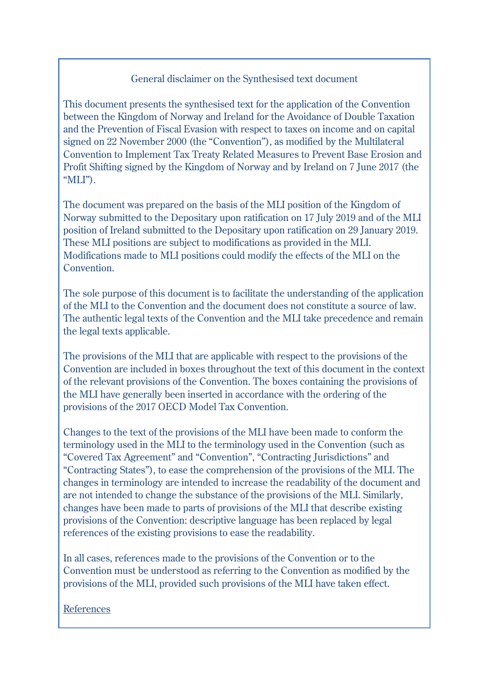### General disclaimer on the Synthesised text document

This document presents the synthesised text for the application of the Convention between the Kingdom of Norway and Ireland for the Avoidance of Double Taxation and the Prevention of Fiscal Evasion with respect to taxes on income and on capital signed on 22 November 2000 (the "Convention"), as modified by the Multilateral Convention to Implement Tax Treaty Related Measures to Prevent Base Erosion and Profit Shifting signed by the Kingdom of Norway and by Ireland on 7 June 2017 (the "MLI").

The document was prepared on the basis of the MLI position of the Kingdom of Norway submitted to the Depositary upon ratification on 17 July 2019 and of the MLI position of Ireland submitted to the Depositary upon ratification on 29 January 2019. These MLI positions are subject to modifications as provided in the MLI. Modifications made to MLI positions could modify the effects of the MLI on the Convention.

The sole purpose of this document is to facilitate the understanding of the application of the MLI to the Convention and the document does not constitute a source of law. The authentic legal texts of the Convention and the MLI take precedence and remain the legal texts applicable.

The provisions of the MLI that are applicable with respect to the provisions of the Convention are included in boxes throughout the text of this document in the context of the relevant provisions of the Convention. The boxes containing the provisions of the MLI have generally been inserted in accordance with the ordering of the provisions of the 2017 OECD Model Tax Convention.

Changes to the text of the provisions of the MLI have been made to conform the terminology used in the MLI to the terminology used in the Convention (such as "Covered Tax Agreement" and "Convention", "Contracting Jurisdictions" and "Contracting States"), to ease the comprehension of the provisions of the MLI. The changes in terminology are intended to increase the readability of the document and are not intended to change the substance of the provisions of the MLI. Similarly, changes have been made to parts of provisions of the MLI that describe existing provisions of the Convention: descriptive language has been replaced by legal references of the existing provisions to ease the readability.

In all cases, references made to the provisions of the Convention or to the Convention must be understood as referring to the Convention as modified by the provisions of the MLI, provided such provisions of the MLI have taken effect.

References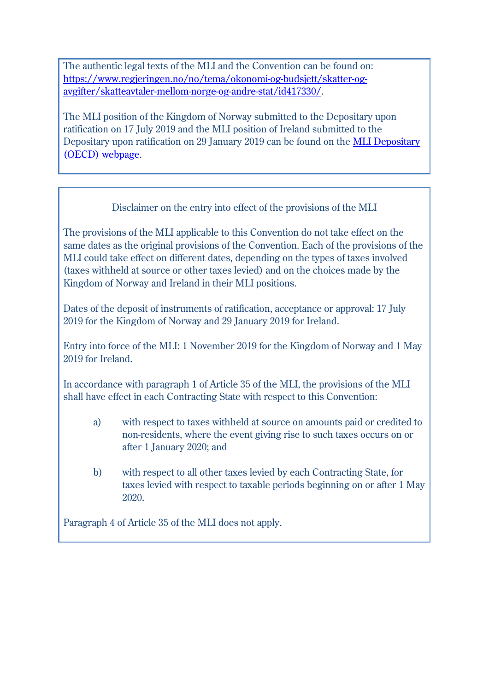The authentic legal texts of the MLI and the Convention can be found on: [https://www.regjeringen.no/no/tema/okonomi-og-budsjett/skatter-og](https://www.regjeringen.no/no/tema/okonomi-og-budsjett/skatter-og-avgifter/skatteavtaler-mellom-norge-og-andre-stat/id417330/)[avgifter/skatteavtaler-mellom-norge-og-andre-stat/id417330/.](https://www.regjeringen.no/no/tema/okonomi-og-budsjett/skatter-og-avgifter/skatteavtaler-mellom-norge-og-andre-stat/id417330/)

The MLI position of the Kingdom of Norway submitted to the Depositary upon ratification on 17 July 2019 and the MLI position of Ireland submitted to the Depositary upon ratification on 29 January 2019 can be found on the [MLI Depositary](http://www.oecd.org/tax/treaties/beps-mli-signatories-and-parties.pdf)  [\(OECD\) webpage.](http://www.oecd.org/tax/treaties/beps-mli-signatories-and-parties.pdf)

## Disclaimer on the entry into effect of the provisions of the MLI

The provisions of the MLI applicable to this Convention do not take effect on the same dates as the original provisions of the Convention. Each of the provisions of the MLI could take effect on different dates, depending on the types of taxes involved (taxes withheld at source or other taxes levied) and on the choices made by the Kingdom of Norway and Ireland in their MLI positions.

Dates of the deposit of instruments of ratification, acceptance or approval: 17 July 2019 for the Kingdom of Norway and 29 January 2019 for Ireland.

Entry into force of the MLI: 1 November 2019 for the Kingdom of Norway and 1 May 2019 for Ireland.

In accordance with paragraph 1 of Article 35 of the MLI, the provisions of the MLI shall have effect in each Contracting State with respect to this Convention:

- a) with respect to taxes withheld at source on amounts paid or credited to non-residents, where the event giving rise to such taxes occurs on or after 1 January 2020; and
- b) with respect to all other taxes levied by each Contracting State, for taxes levied with respect to taxable periods beginning on or after 1 May 2020.

Paragraph 4 of Article 35 of the MLI does not apply.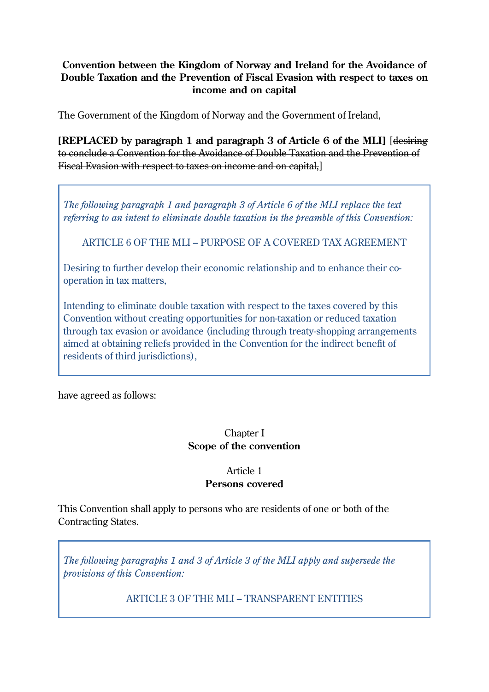#### **Convention between the Kingdom of Norway and Ireland for the Avoidance of Double Taxation and the Prevention of Fiscal Evasion with respect to taxes on income and on capital**

The Government of the Kingdom of Norway and the Government of Ireland,

**[REPLACED by paragraph 1 and paragraph 3 of Article 6 of the MLI]** [desiring to conclude a Convention for the Avoidance of Double Taxation and the Prevention of Fiscal Evasion with respect to taxes on income and on capital,]

*The following paragraph 1 and paragraph 3 of Article 6 of the MLI replace the text referring to an intent to eliminate double taxation in the preamble of this Convention:*

ARTICLE 6 OF THE MLI – PURPOSE OF A COVERED TAX AGREEMENT

Desiring to further develop their economic relationship and to enhance their cooperation in tax matters,

Intending to eliminate double taxation with respect to the taxes covered by this Convention without creating opportunities for non-taxation or reduced taxation through tax evasion or avoidance (including through treaty-shopping arrangements aimed at obtaining reliefs provided in the Convention for the indirect benefit of residents of third jurisdictions),

have agreed as follows:

#### Chapter I **Scope of the convention**

#### Article 1 **Persons covered**

This Convention shall apply to persons who are residents of one or both of the Contracting States.

*The following paragraphs 1 and 3 of Article 3 of the MLI apply and supersede the provisions of this Convention:*

ARTICLE 3 OF THE MLI – TRANSPARENT ENTITIES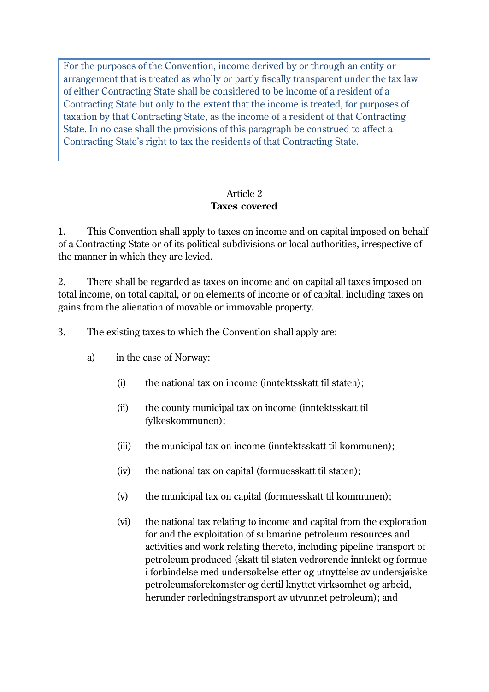For the purposes of the Convention, income derived by or through an entity or arrangement that is treated as wholly or partly fiscally transparent under the tax law of either Contracting State shall be considered to be income of a resident of a Contracting State but only to the extent that the income is treated, for purposes of taxation by that Contracting State, as the income of a resident of that Contracting State. In no case shall the provisions of this paragraph be construed to affect a Contracting State's right to tax the residents of that Contracting State.

#### Article 2 **Taxes covered**

1. This Convention shall apply to taxes on income and on capital imposed on behalf of a Contracting State or of its political subdivisions or local authorities, irrespective of the manner in which they are levied.

2. There shall be regarded as taxes on income and on capital all taxes imposed on total income, on total capital, or on elements of income or of capital, including taxes on gains from the alienation of movable or immovable property.

3. The existing taxes to which the Convention shall apply are:

- a) in the case of Norway:
	- (i) the national tax on income (inntektsskatt til staten);
	- (ii) the county municipal tax on income (inntektsskatt til fylkeskommunen);
	- (iii) the municipal tax on income (inntektsskatt til kommunen);
	- (iv) the national tax on capital (formuesskatt til staten);
	- (v) the municipal tax on capital (formuesskatt til kommunen);
	- (vi) the national tax relating to income and capital from the exploration for and the exploitation of submarine petroleum resources and activities and work relating thereto, including pipeline transport of petroleum produced (skatt til staten vedrørende inntekt og formue i forbindelse med undersøkelse etter og utnyttelse av undersjøiske petroleumsforekomster og dertil knyttet virksomhet og arbeid, herunder rørledningstransport av utvunnet petroleum); and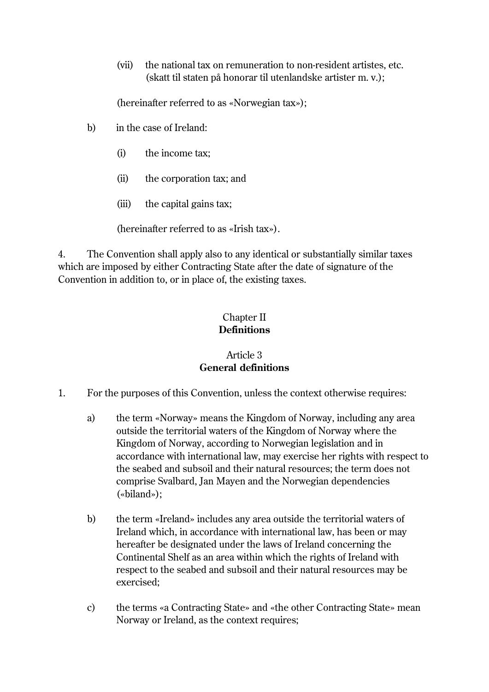(vii) the national tax on remuneration to non-resident artistes, etc. (skatt til staten på honorar til utenlandske artister m. v.);

(hereinafter referred to as «Norwegian tax»);

- b) in the case of Ireland:
	- (i) the income tax;
	- (ii) the corporation tax; and
	- (iii) the capital gains tax;

(hereinafter referred to as «Irish tax»).

4. The Convention shall apply also to any identical or substantially similar taxes which are imposed by either Contracting State after the date of signature of the Convention in addition to, or in place of, the existing taxes.

### Chapter II **Definitions**

### Article 3 **General definitions**

- 1. For the purposes of this Convention, unless the context otherwise requires:
	- a) the term «Norway» means the Kingdom of Norway, including any area outside the territorial waters of the Kingdom of Norway where the Kingdom of Norway, according to Norwegian legislation and in accordance with international law, may exercise her rights with respect to the seabed and subsoil and their natural resources; the term does not comprise Svalbard, Jan Mayen and the Norwegian dependencies («biland»);
	- b) the term «Ireland» includes any area outside the territorial waters of Ireland which, in accordance with international law, has been or may hereafter be designated under the laws of Ireland concerning the Continental Shelf as an area within which the rights of Ireland with respect to the seabed and subsoil and their natural resources may be exercised;
	- c) the terms «a Contracting State» and «the other Contracting State» mean Norway or Ireland, as the context requires;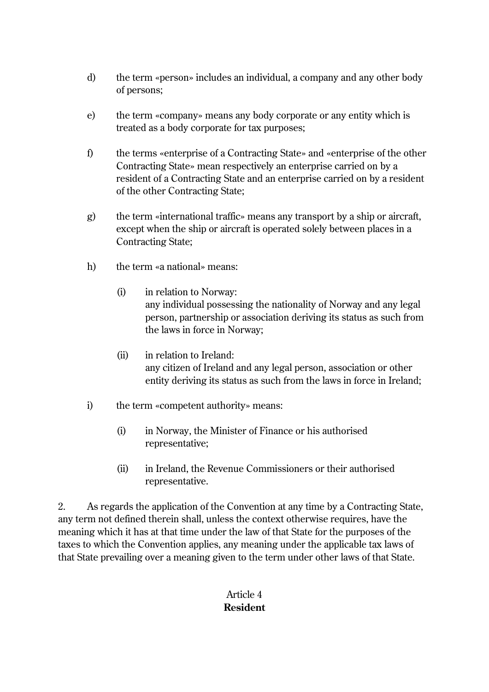- d) the term «person» includes an individual, a company and any other body of persons;
- e) the term «company» means any body corporate or any entity which is treated as a body corporate for tax purposes;
- f) the terms «enterprise of a Contracting State» and «enterprise of the other Contracting State» mean respectively an enterprise carried on by a resident of a Contracting State and an enterprise carried on by a resident of the other Contracting State;
- g) the term «international traffic» means any transport by a ship or aircraft, except when the ship or aircraft is operated solely between places in a Contracting State;
- h) the term «a national» means:
	- (i) in relation to Norway: any individual possessing the nationality of Norway and any legal person, partnership or association deriving its status as such from the laws in force in Norway;
	- (ii) in relation to Ireland: any citizen of Ireland and any legal person, association or other entity deriving its status as such from the laws in force in Ireland;
- i) the term «competent authority» means:
	- (i) in Norway, the Minister of Finance or his authorised representative;
	- (ii) in Ireland, the Revenue Commissioners or their authorised representative.

2. As regards the application of the Convention at any time by a Contracting State, any term not defined therein shall, unless the context otherwise requires, have the meaning which it has at that time under the law of that State for the purposes of the taxes to which the Convention applies, any meaning under the applicable tax laws of that State prevailing over a meaning given to the term under other laws of that State.

### Article 4 **Resident**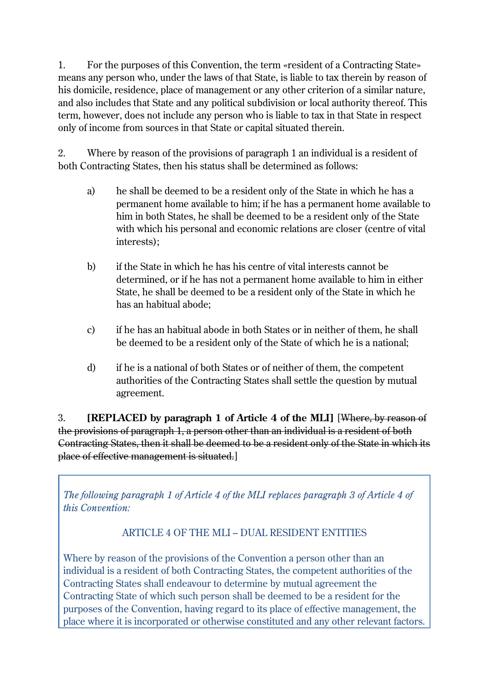1. For the purposes of this Convention, the term «resident of a Contracting State» means any person who, under the laws of that State, is liable to tax therein by reason of his domicile, residence, place of management or any other criterion of a similar nature, and also includes that State and any political subdivision or local authority thereof. This term, however, does not include any person who is liable to tax in that State in respect only of income from sources in that State or capital situated therein.

2. Where by reason of the provisions of paragraph 1 an individual is a resident of both Contracting States, then his status shall be determined as follows:

- a) he shall be deemed to be a resident only of the State in which he has a permanent home available to him; if he has a permanent home available to him in both States, he shall be deemed to be a resident only of the State with which his personal and economic relations are closer (centre of vital interests);
- b) if the State in which he has his centre of vital interests cannot be determined, or if he has not a permanent home available to him in either State, he shall be deemed to be a resident only of the State in which he has an habitual abode;
- c) if he has an habitual abode in both States or in neither of them, he shall be deemed to be a resident only of the State of which he is a national;
- d) if he is a national of both States or of neither of them, the competent authorities of the Contracting States shall settle the question by mutual agreement.

3. **[REPLACED by paragraph 1 of Article 4 of the MLI]** [Where, by reason of the provisions of paragraph 1, a person other than an individual is a resident of both Contracting States, then it shall be deemed to be a resident only of the State in which its place of effective management is situated.]

*The following paragraph 1 of Article 4 of the MLI replaces paragraph 3 of Article 4 of this Convention:*

# ARTICLE 4 OF THE MLI – DUAL RESIDENT ENTITIES

Where by reason of the provisions of the Convention a person other than an individual is a resident of both Contracting States, the competent authorities of the Contracting States shall endeavour to determine by mutual agreement the Contracting State of which such person shall be deemed to be a resident for the purposes of the Convention, having regard to its place of effective management, the place where it is incorporated or otherwise constituted and any other relevant factors.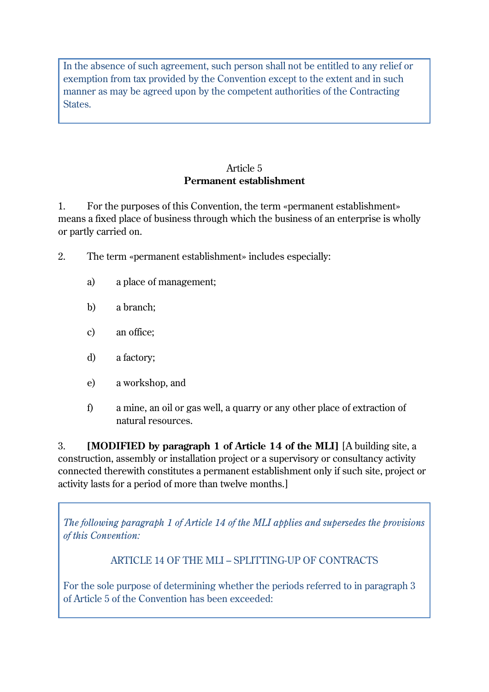In the absence of such agreement, such person shall not be entitled to any relief or exemption from tax provided by the Convention except to the extent and in such manner as may be agreed upon by the competent authorities of the Contracting States.

### Article 5 **Permanent establishment**

1. For the purposes of this Convention, the term «permanent establishment» means a fixed place of business through which the business of an enterprise is wholly or partly carried on.

- 2. The term «permanent establishment» includes especially:
	- a) a place of management;
	- b) a branch;
	- c) an office;
	- d) a factory;
	- e) a workshop, and
	- f) a mine, an oil or gas well, a quarry or any other place of extraction of natural resources.

3. **[MODIFIED by paragraph 1 of Article 14 of the MLI]** [A building site, a construction, assembly or installation project or a supervisory or consultancy activity connected therewith constitutes a permanent establishment only if such site, project or activity lasts for a period of more than twelve months.]

*The following paragraph 1 of Article 14 of the MLI applies and supersedes the provisions of this Convention:*

ARTICLE 14 OF THE MLI – SPLITTING-UP OF CONTRACTS

For the sole purpose of determining whether the periods referred to in paragraph 3 of Article 5 of the Convention has been exceeded: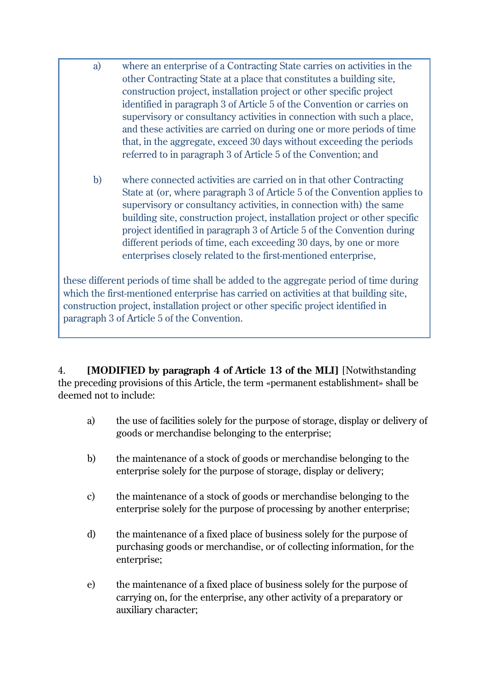- a) where an enterprise of a Contracting State carries on activities in the other Contracting State at a place that constitutes a building site, construction project, installation project or other specific project identified in paragraph 3 of Article 5 of the Convention or carries on supervisory or consultancy activities in connection with such a place, and these activities are carried on during one or more periods of time that, in the aggregate, exceed 30 days without exceeding the periods referred to in paragraph 3 of Article 5 of the Convention; and
- b) where connected activities are carried on in that other Contracting State at (or, where paragraph 3 of Article 5 of the Convention applies to supervisory or consultancy activities, in connection with) the same building site, construction project, installation project or other specific project identified in paragraph 3 of Article 5 of the Convention during different periods of time, each exceeding 30 days, by one or more enterprises closely related to the first-mentioned enterprise,

these different periods of time shall be added to the aggregate period of time during which the first-mentioned enterprise has carried on activities at that building site, construction project, installation project or other specific project identified in paragraph 3 of Article 5 of the Convention.

4. **[MODIFIED by paragraph 4 of Article 13 of the MLI]** [Notwithstanding the preceding provisions of this Article, the term «permanent establishment» shall be deemed not to include:

- a) the use of facilities solely for the purpose of storage, display or delivery of goods or merchandise belonging to the enterprise;
- b) the maintenance of a stock of goods or merchandise belonging to the enterprise solely for the purpose of storage, display or delivery;
- c) the maintenance of a stock of goods or merchandise belonging to the enterprise solely for the purpose of processing by another enterprise;
- d) the maintenance of a fixed place of business solely for the purpose of purchasing goods or merchandise, or of collecting information, for the enterprise;
- e) the maintenance of a fixed place of business solely for the purpose of carrying on, for the enterprise, any other activity of a preparatory or auxiliary character;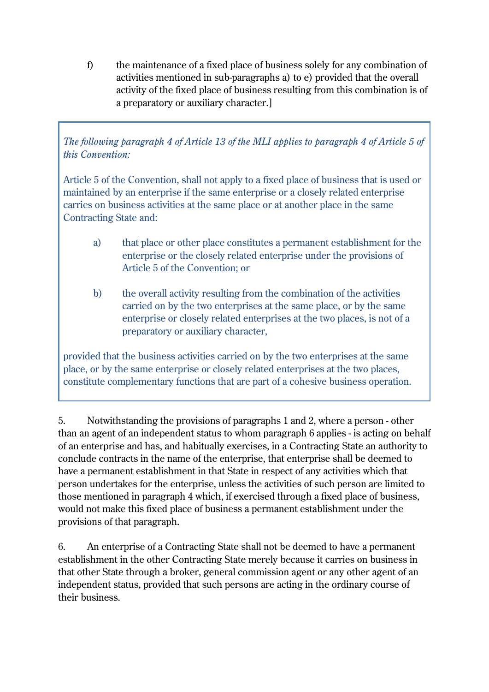f) the maintenance of a fixed place of business solely for any combination of activities mentioned in sub-paragraphs a) to e) provided that the overall activity of the fixed place of business resulting from this combination is of a preparatory or auxiliary character.]

*The following paragraph 4 of Article 13 of the MLI applies to paragraph 4 of Article 5 of this Convention:*

Article 5 of the Convention, shall not apply to a fixed place of business that is used or maintained by an enterprise if the same enterprise or a closely related enterprise carries on business activities at the same place or at another place in the same Contracting State and:

- a) that place or other place constitutes a permanent establishment for the enterprise or the closely related enterprise under the provisions of Article 5 of the Convention; or
- b) the overall activity resulting from the combination of the activities carried on by the two enterprises at the same place, or by the same enterprise or closely related enterprises at the two places, is not of a preparatory or auxiliary character,

provided that the business activities carried on by the two enterprises at the same place, or by the same enterprise or closely related enterprises at the two places, constitute complementary functions that are part of a cohesive business operation.

5. Notwithstanding the provisions of paragraphs 1 and 2, where a person - other than an agent of an independent status to whom paragraph 6 applies - is acting on behalf of an enterprise and has, and habitually exercises, in a Contracting State an authority to conclude contracts in the name of the enterprise, that enterprise shall be deemed to have a permanent establishment in that State in respect of any activities which that person undertakes for the enterprise, unless the activities of such person are limited to those mentioned in paragraph 4 which, if exercised through a fixed place of business, would not make this fixed place of business a permanent establishment under the provisions of that paragraph.

6. An enterprise of a Contracting State shall not be deemed to have a permanent establishment in the other Contracting State merely because it carries on business in that other State through a broker, general commission agent or any other agent of an independent status, provided that such persons are acting in the ordinary course of their business.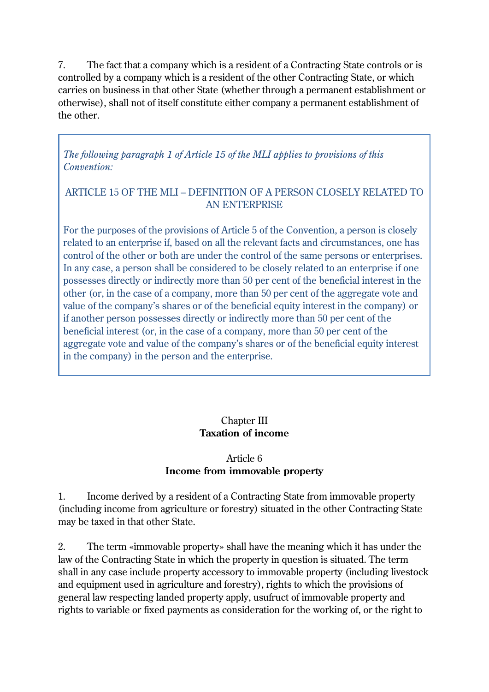7. The fact that a company which is a resident of a Contracting State controls or is controlled by a company which is a resident of the other Contracting State, or which carries on business in that other State (whether through a permanent establishment or otherwise), shall not of itself constitute either company a permanent establishment of the other.

*The following paragraph 1 of Article 15 of the MLI applies to provisions of this Convention:*

### ARTICLE 15 OF THE MLI – DEFINITION OF A PERSON CLOSELY RELATED TO AN ENTERPRISE

For the purposes of the provisions of Article 5 of the Convention, a person is closely related to an enterprise if, based on all the relevant facts and circumstances, one has control of the other or both are under the control of the same persons or enterprises. In any case, a person shall be considered to be closely related to an enterprise if one possesses directly or indirectly more than 50 per cent of the beneficial interest in the other (or, in the case of a company, more than 50 per cent of the aggregate vote and value of the company's shares or of the beneficial equity interest in the company) or if another person possesses directly or indirectly more than 50 per cent of the beneficial interest (or, in the case of a company, more than 50 per cent of the aggregate vote and value of the company's shares or of the beneficial equity interest in the company) in the person and the enterprise.

## Chapter III **Taxation of income**

## Article 6 **Income from immovable property**

1. Income derived by a resident of a Contracting State from immovable property (including income from agriculture or forestry) situated in the other Contracting State may be taxed in that other State.

2. The term «immovable property» shall have the meaning which it has under the law of the Contracting State in which the property in question is situated. The term shall in any case include property accessory to immovable property (including livestock and equipment used in agriculture and forestry), rights to which the provisions of general law respecting landed property apply, usufruct of immovable property and rights to variable or fixed payments as consideration for the working of, or the right to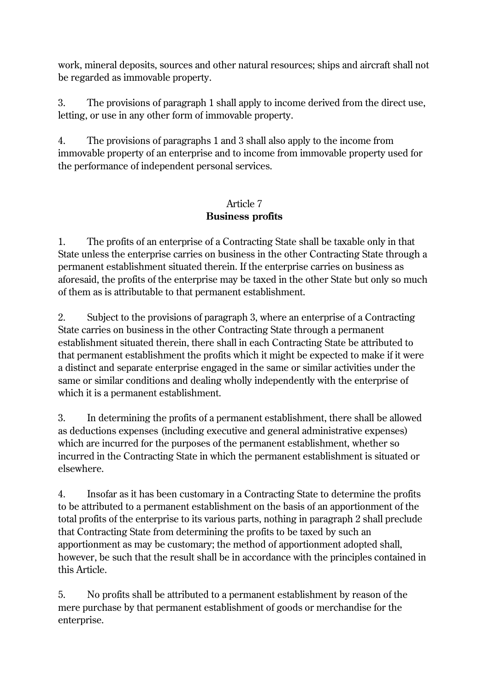work, mineral deposits, sources and other natural resources; ships and aircraft shall not be regarded as immovable property.

3. The provisions of paragraph 1 shall apply to income derived from the direct use, letting, or use in any other form of immovable property.

4. The provisions of paragraphs 1 and 3 shall also apply to the income from immovable property of an enterprise and to income from immovable property used for the performance of independent personal services.

## Article 7 **Business profits**

1. The profits of an enterprise of a Contracting State shall be taxable only in that State unless the enterprise carries on business in the other Contracting State through a permanent establishment situated therein. If the enterprise carries on business as aforesaid, the profits of the enterprise may be taxed in the other State but only so much of them as is attributable to that permanent establishment.

2. Subject to the provisions of paragraph 3, where an enterprise of a Contracting State carries on business in the other Contracting State through a permanent establishment situated therein, there shall in each Contracting State be attributed to that permanent establishment the profits which it might be expected to make if it were a distinct and separate enterprise engaged in the same or similar activities under the same or similar conditions and dealing wholly independently with the enterprise of which it is a permanent establishment.

3. In determining the profits of a permanent establishment, there shall be allowed as deductions expenses (including executive and general administrative expenses) which are incurred for the purposes of the permanent establishment, whether so incurred in the Contracting State in which the permanent establishment is situated or elsewhere.

4. Insofar as it has been customary in a Contracting State to determine the profits to be attributed to a permanent establishment on the basis of an apportionment of the total profits of the enterprise to its various parts, nothing in paragraph 2 shall preclude that Contracting State from determining the profits to be taxed by such an apportionment as may be customary; the method of apportionment adopted shall, however, be such that the result shall be in accordance with the principles contained in this Article.

5. No profits shall be attributed to a permanent establishment by reason of the mere purchase by that permanent establishment of goods or merchandise for the enterprise.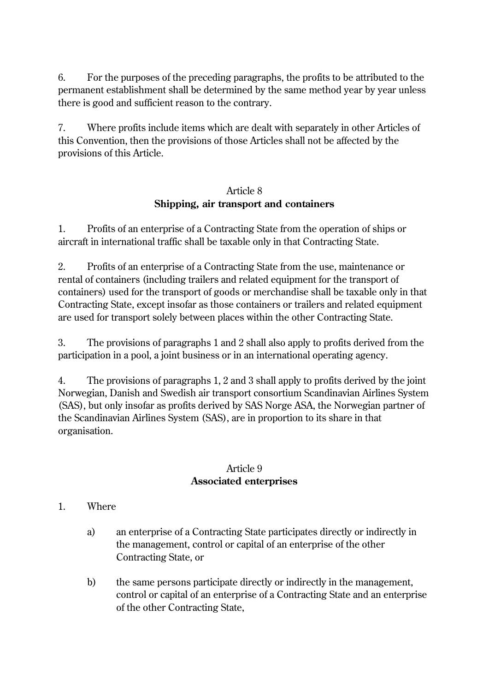6. For the purposes of the preceding paragraphs, the profits to be attributed to the permanent establishment shall be determined by the same method year by year unless there is good and sufficient reason to the contrary.

7. Where profits include items which are dealt with separately in other Articles of this Convention, then the provisions of those Articles shall not be affected by the provisions of this Article.

#### Article 8 **Shipping, air transport and containers**

1. Profits of an enterprise of a Contracting State from the operation of ships or aircraft in international traffic shall be taxable only in that Contracting State.

2. Profits of an enterprise of a Contracting State from the use, maintenance or rental of containers (including trailers and related equipment for the transport of containers) used for the transport of goods or merchandise shall be taxable only in that Contracting State, except insofar as those containers or trailers and related equipment are used for transport solely between places within the other Contracting State.

3. The provisions of paragraphs 1 and 2 shall also apply to profits derived from the participation in a pool, a joint business or in an international operating agency.

4. The provisions of paragraphs 1, 2 and 3 shall apply to profits derived by the joint Norwegian, Danish and Swedish air transport consortium Scandinavian Airlines System (SAS), but only insofar as profits derived by SAS Norge ASA, the Norwegian partner of the Scandinavian Airlines System (SAS), are in proportion to its share in that organisation.

#### Article 9 **Associated enterprises**

### 1. Where

- a) an enterprise of a Contracting State participates directly or indirectly in the management, control or capital of an enterprise of the other Contracting State, or
- b) the same persons participate directly or indirectly in the management, control or capital of an enterprise of a Contracting State and an enterprise of the other Contracting State,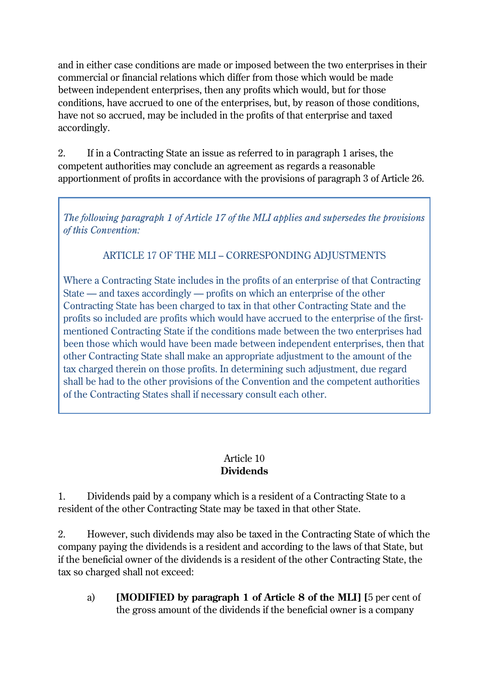and in either case conditions are made or imposed between the two enterprises in their commercial or financial relations which differ from those which would be made between independent enterprises, then any profits which would, but for those conditions, have accrued to one of the enterprises, but, by reason of those conditions, have not so accrued, may be included in the profits of that enterprise and taxed accordingly.

2. If in a Contracting State an issue as referred to in paragraph 1 arises, the competent authorities may conclude an agreement as regards a reasonable apportionment of profits in accordance with the provisions of paragraph 3 of Article 26.

*The following paragraph 1 of Article 17 of the MLI applies and supersedes the provisions of this Convention:*

ARTICLE 17 OF THE MLI – CORRESPONDING ADJUSTMENTS

Where a Contracting State includes in the profits of an enterprise of that Contracting State — and taxes accordingly — profits on which an enterprise of the other Contracting State has been charged to tax in that other Contracting State and the profits so included are profits which would have accrued to the enterprise of the firstmentioned Contracting State if the conditions made between the two enterprises had been those which would have been made between independent enterprises, then that other Contracting State shall make an appropriate adjustment to the amount of the tax charged therein on those profits. In determining such adjustment, due regard shall be had to the other provisions of the Convention and the competent authorities of the Contracting States shall if necessary consult each other.

### Article 10 **Dividends**

1. Dividends paid by a company which is a resident of a Contracting State to a resident of the other Contracting State may be taxed in that other State.

2. However, such dividends may also be taxed in the Contracting State of which the company paying the dividends is a resident and according to the laws of that State, but if the beneficial owner of the dividends is a resident of the other Contracting State, the tax so charged shall not exceed:

a) **[MODIFIED by paragraph 1 of Article 8 of the MLI] [**5 per cent of the gross amount of the dividends if the beneficial owner is a company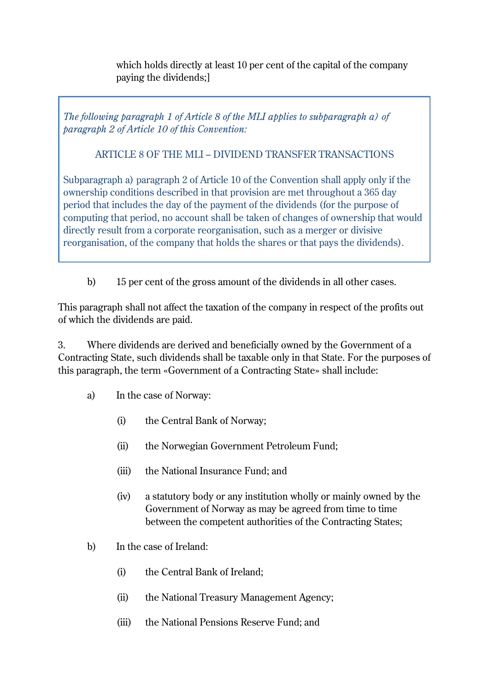which holds directly at least 10 per cent of the capital of the company paying the dividends;]

*The following paragraph 1 of Article 8 of the MLI applies to subparagraph a) of paragraph 2 of Article 10 of this Convention:*

### ARTICLE 8 OF THE MLI – DIVIDEND TRANSFER TRANSACTIONS

Subparagraph a) paragraph 2 of Article 10 of the Convention shall apply only if the ownership conditions described in that provision are met throughout a 365 day period that includes the day of the payment of the dividends (for the purpose of computing that period, no account shall be taken of changes of ownership that would directly result from a corporate reorganisation, such as a merger or divisive reorganisation, of the company that holds the shares or that pays the dividends).

b) 15 per cent of the gross amount of the dividends in all other cases.

This paragraph shall not affect the taxation of the company in respect of the profits out of which the dividends are paid.

3. Where dividends are derived and beneficially owned by the Government of a Contracting State, such dividends shall be taxable only in that State. For the purposes of this paragraph, the term «Government of a Contracting State» shall include:

- a) In the case of Norway:
	- (i) the Central Bank of Norway;
	- (ii) the Norwegian Government Petroleum Fund;
	- (iii) the National Insurance Fund; and
	- (iv) a statutory body or any institution wholly or mainly owned by the Government of Norway as may be agreed from time to time between the competent authorities of the Contracting States;
- b) In the case of Ireland:
	- (i) the Central Bank of Ireland;
	- (ii) the National Treasury Management Agency;
	- (iii) the National Pensions Reserve Fund; and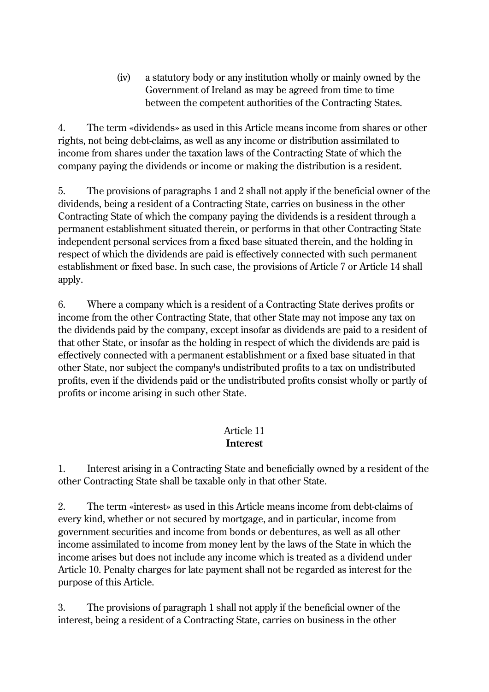(iv) a statutory body or any institution wholly or mainly owned by the Government of Ireland as may be agreed from time to time between the competent authorities of the Contracting States.

4. The term «dividends» as used in this Article means income from shares or other rights, not being debt-claims, as well as any income or distribution assimilated to income from shares under the taxation laws of the Contracting State of which the company paying the dividends or income or making the distribution is a resident.

5. The provisions of paragraphs 1 and 2 shall not apply if the beneficial owner of the dividends, being a resident of a Contracting State, carries on business in the other Contracting State of which the company paying the dividends is a resident through a permanent establishment situated therein, or performs in that other Contracting State independent personal services from a fixed base situated therein, and the holding in respect of which the dividends are paid is effectively connected with such permanent establishment or fixed base. In such case, the provisions of Article 7 or Article 14 shall apply.

6. Where a company which is a resident of a Contracting State derives profits or income from the other Contracting State, that other State may not impose any tax on the dividends paid by the company, except insofar as dividends are paid to a resident of that other State, or insofar as the holding in respect of which the dividends are paid is effectively connected with a permanent establishment or a fixed base situated in that other State, nor subject the company's undistributed profits to a tax on undistributed profits, even if the dividends paid or the undistributed profits consist wholly or partly of profits or income arising in such other State.

#### Article 11 **Interest**

1. Interest arising in a Contracting State and beneficially owned by a resident of the other Contracting State shall be taxable only in that other State.

2. The term «interest» as used in this Article means income from debt-claims of every kind, whether or not secured by mortgage, and in particular, income from government securities and income from bonds or debentures, as well as all other income assimilated to income from money lent by the laws of the State in which the income arises but does not include any income which is treated as a dividend under Article 10. Penalty charges for late payment shall not be regarded as interest for the purpose of this Article.

3. The provisions of paragraph 1 shall not apply if the beneficial owner of the interest, being a resident of a Contracting State, carries on business in the other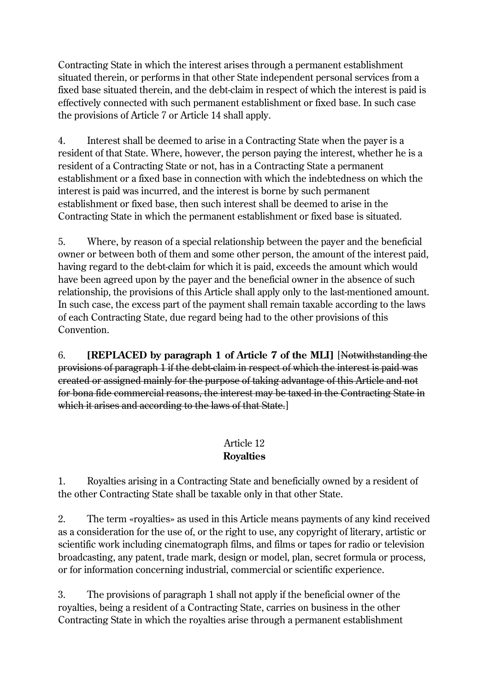Contracting State in which the interest arises through a permanent establishment situated therein, or performs in that other State independent personal services from a fixed base situated therein, and the debt-claim in respect of which the interest is paid is effectively connected with such permanent establishment or fixed base. In such case the provisions of Article 7 or Article 14 shall apply.

4. Interest shall be deemed to arise in a Contracting State when the payer is a resident of that State. Where, however, the person paying the interest, whether he is a resident of a Contracting State or not, has in a Contracting State a permanent establishment or a fixed base in connection with which the indebtedness on which the interest is paid was incurred, and the interest is borne by such permanent establishment or fixed base, then such interest shall be deemed to arise in the Contracting State in which the permanent establishment or fixed base is situated.

5. Where, by reason of a special relationship between the payer and the beneficial owner or between both of them and some other person, the amount of the interest paid, having regard to the debt-claim for which it is paid, exceeds the amount which would have been agreed upon by the payer and the beneficial owner in the absence of such relationship, the provisions of this Article shall apply only to the last-mentioned amount. In such case, the excess part of the payment shall remain taxable according to the laws of each Contracting State, due regard being had to the other provisions of this Convention.

6. **[REPLACED by paragraph 1 of Article 7 of the MLI]** [Notwithstanding the provisions of paragraph 1 if the debt-claim in respect of which the interest is paid was created or assigned mainly for the purpose of taking advantage of this Article and not for bona fide commercial reasons, the interest may be taxed in the Contracting State in which it arises and according to the laws of that State.

## Article 12 **Royalties**

1. Royalties arising in a Contracting State and beneficially owned by a resident of the other Contracting State shall be taxable only in that other State.

2. The term «royalties» as used in this Article means payments of any kind received as a consideration for the use of, or the right to use, any copyright of literary, artistic or scientific work including cinematograph films, and films or tapes for radio or television broadcasting, any patent, trade mark, design or model, plan, secret formula or process, or for information concerning industrial, commercial or scientific experience.

3. The provisions of paragraph 1 shall not apply if the beneficial owner of the royalties, being a resident of a Contracting State, carries on business in the other Contracting State in which the royalties arise through a permanent establishment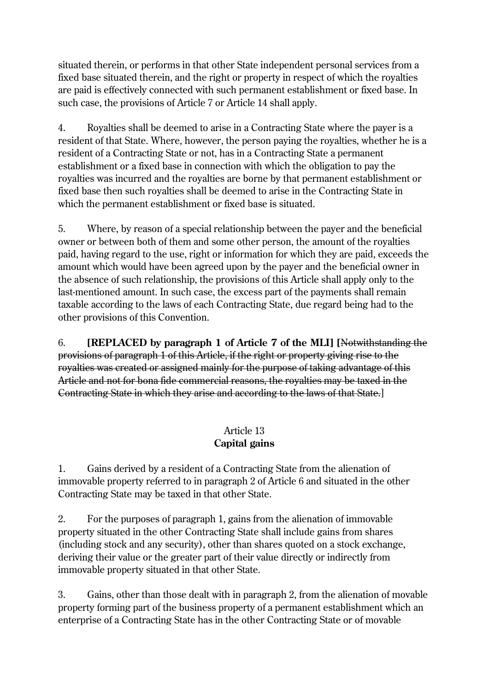situated therein, or performs in that other State independent personal services from a fixed base situated therein, and the right or property in respect of which the royalties are paid is effectively connected with such permanent establishment or fixed base. In such case, the provisions of Article 7 or Article 14 shall apply.

4. Royalties shall be deemed to arise in a Contracting State where the payer is a resident of that State. Where, however, the person paying the royalties, whether he is a resident of a Contracting State or not, has in a Contracting State a permanent establishment or a fixed base in connection with which the obligation to pay the royalties was incurred and the royalties are borne by that permanent establishment or fixed base then such royalties shall be deemed to arise in the Contracting State in which the permanent establishment or fixed base is situated.

5. Where, by reason of a special relationship between the payer and the beneficial owner or between both of them and some other person, the amount of the royalties paid, having regard to the use, right or information for which they are paid, exceeds the amount which would have been agreed upon by the payer and the beneficial owner in the absence of such relationship, the provisions of this Article shall apply only to the last-mentioned amount. In such case, the excess part of the payments shall remain taxable according to the laws of each Contracting State, due regard being had to the other provisions of this Convention.

6. **[REPLACED by paragraph 1 of Article 7 of the MLI] [**Notwithstanding the provisions of paragraph 1 of this Article, if the right or property giving rise to the royalties was created or assigned mainly for the purpose of taking advantage of this Article and not for bona fide commercial reasons, the royalties may be taxed in the Contracting State in which they arise and according to the laws of that State.]

#### Article 13 **Capital gains**

1. Gains derived by a resident of a Contracting State from the alienation of immovable property referred to in paragraph 2 of Article 6 and situated in the other Contracting State may be taxed in that other State.

2. For the purposes of paragraph 1, gains from the alienation of immovable property situated in the other Contracting State shall include gains from shares (including stock and any security), other than shares quoted on a stock exchange, deriving their value or the greater part of their value directly or indirectly from immovable property situated in that other State.

3. Gains, other than those dealt with in paragraph 2, from the alienation of movable property forming part of the business property of a permanent establishment which an enterprise of a Contracting State has in the other Contracting State or of movable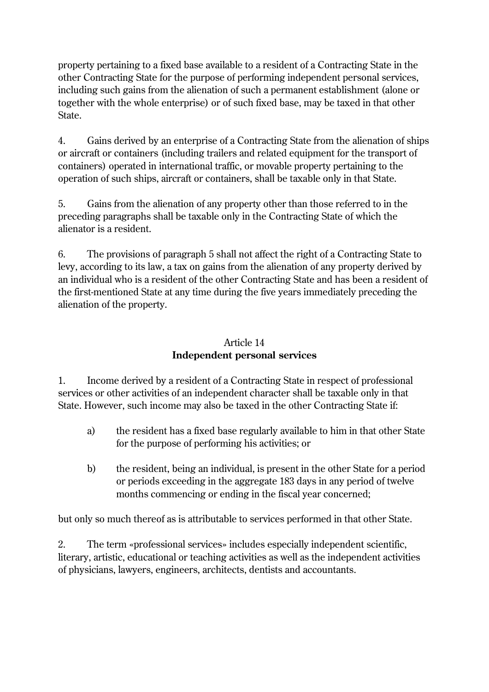property pertaining to a fixed base available to a resident of a Contracting State in the other Contracting State for the purpose of performing independent personal services, including such gains from the alienation of such a permanent establishment (alone or together with the whole enterprise) or of such fixed base, may be taxed in that other State.

4. Gains derived by an enterprise of a Contracting State from the alienation of ships or aircraft or containers (including trailers and related equipment for the transport of containers) operated in international traffic, or movable property pertaining to the operation of such ships, aircraft or containers, shall be taxable only in that State.

5. Gains from the alienation of any property other than those referred to in the preceding paragraphs shall be taxable only in the Contracting State of which the alienator is a resident.

6. The provisions of paragraph 5 shall not affect the right of a Contracting State to levy, according to its law, a tax on gains from the alienation of any property derived by an individual who is a resident of the other Contracting State and has been a resident of the first-mentioned State at any time during the five years immediately preceding the alienation of the property.

### Article 14 **Independent personal services**

1. Income derived by a resident of a Contracting State in respect of professional services or other activities of an independent character shall be taxable only in that State. However, such income may also be taxed in the other Contracting State if:

- a) the resident has a fixed base regularly available to him in that other State for the purpose of performing his activities; or
- b) the resident, being an individual, is present in the other State for a period or periods exceeding in the aggregate 183 days in any period of twelve months commencing or ending in the fiscal year concerned;

but only so much thereof as is attributable to services performed in that other State.

2. The term «professional services» includes especially independent scientific, literary, artistic, educational or teaching activities as well as the independent activities of physicians, lawyers, engineers, architects, dentists and accountants.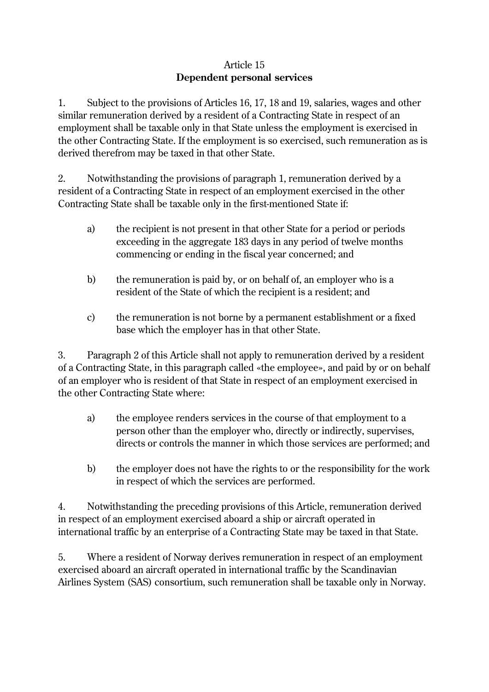#### Article 15 **Dependent personal services**

1. Subject to the provisions of Articles 16, 17, 18 and 19, salaries, wages and other similar remuneration derived by a resident of a Contracting State in respect of an employment shall be taxable only in that State unless the employment is exercised in the other Contracting State. If the employment is so exercised, such remuneration as is derived therefrom may be taxed in that other State.

2. Notwithstanding the provisions of paragraph 1, remuneration derived by a resident of a Contracting State in respect of an employment exercised in the other Contracting State shall be taxable only in the first-mentioned State if:

- a) the recipient is not present in that other State for a period or periods exceeding in the aggregate 183 days in any period of twelve months commencing or ending in the fiscal year concerned; and
- b) the remuneration is paid by, or on behalf of, an employer who is a resident of the State of which the recipient is a resident; and
- c) the remuneration is not borne by a permanent establishment or a fixed base which the employer has in that other State.

3. Paragraph 2 of this Article shall not apply to remuneration derived by a resident of a Contracting State, in this paragraph called «the employee», and paid by or on behalf of an employer who is resident of that State in respect of an employment exercised in the other Contracting State where:

- a) the employee renders services in the course of that employment to a person other than the employer who, directly or indirectly, supervises, directs or controls the manner in which those services are performed; and
- b) the employer does not have the rights to or the responsibility for the work in respect of which the services are performed.

4. Notwithstanding the preceding provisions of this Article, remuneration derived in respect of an employment exercised aboard a ship or aircraft operated in international traffic by an enterprise of a Contracting State may be taxed in that State.

5. Where a resident of Norway derives remuneration in respect of an employment exercised aboard an aircraft operated in international traffic by the Scandinavian Airlines System (SAS) consortium, such remuneration shall be taxable only in Norway.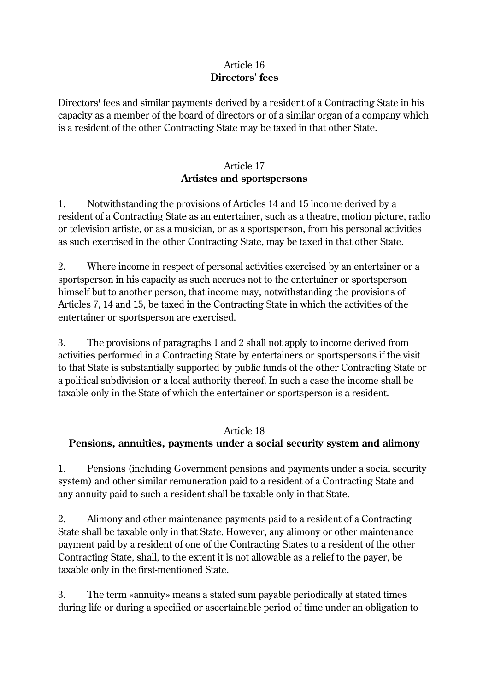#### Article 16 **Directors' fees**

Directors' fees and similar payments derived by a resident of a Contracting State in his capacity as a member of the board of directors or of a similar organ of a company which is a resident of the other Contracting State may be taxed in that other State.

### Article 17 **Artistes and sportspersons**

1. Notwithstanding the provisions of Articles 14 and 15 income derived by a resident of a Contracting State as an entertainer, such as a theatre, motion picture, radio or television artiste, or as a musician, or as a sportsperson, from his personal activities as such exercised in the other Contracting State, may be taxed in that other State.

2. Where income in respect of personal activities exercised by an entertainer or a sportsperson in his capacity as such accrues not to the entertainer or sportsperson himself but to another person, that income may, notwithstanding the provisions of Articles 7, 14 and 15, be taxed in the Contracting State in which the activities of the entertainer or sportsperson are exercised.

3. The provisions of paragraphs 1 and 2 shall not apply to income derived from activities performed in a Contracting State by entertainers or sportspersons if the visit to that State is substantially supported by public funds of the other Contracting State or a political subdivision or a local authority thereof. In such a case the income shall be taxable only in the State of which the entertainer or sportsperson is a resident.

#### Article 18

### **Pensions, annuities, payments under a social security system and alimony**

1. Pensions (including Government pensions and payments under a social security system) and other similar remuneration paid to a resident of a Contracting State and any annuity paid to such a resident shall be taxable only in that State.

2. Alimony and other maintenance payments paid to a resident of a Contracting State shall be taxable only in that State. However, any alimony or other maintenance payment paid by a resident of one of the Contracting States to a resident of the other Contracting State, shall, to the extent it is not allowable as a relief to the payer, be taxable only in the first-mentioned State.

3. The term «annuity» means a stated sum payable periodically at stated times during life or during a specified or ascertainable period of time under an obligation to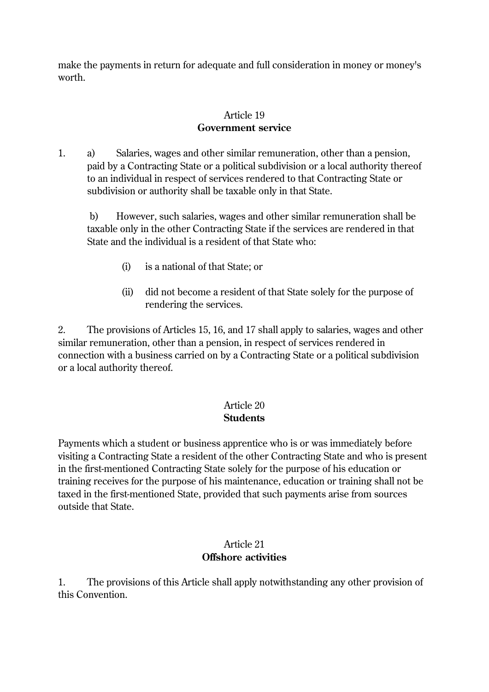make the payments in return for adequate and full consideration in money or money's worth.

#### Article 19 **Government service**

1. a) Salaries, wages and other similar remuneration, other than a pension, paid by a Contracting State or a political subdivision or a local authority thereof to an individual in respect of services rendered to that Contracting State or subdivision or authority shall be taxable only in that State.

b) However, such salaries, wages and other similar remuneration shall be taxable only in the other Contracting State if the services are rendered in that State and the individual is a resident of that State who:

- (i) is a national of that State; or
- (ii) did not become a resident of that State solely for the purpose of rendering the services.

2. The provisions of Articles 15, 16, and 17 shall apply to salaries, wages and other similar remuneration, other than a pension, in respect of services rendered in connection with a business carried on by a Contracting State or a political subdivision or a local authority thereof.

#### Article 20 **Students**

Payments which a student or business apprentice who is or was immediately before visiting a Contracting State a resident of the other Contracting State and who is present in the first-mentioned Contracting State solely for the purpose of his education or training receives for the purpose of his maintenance, education or training shall not be taxed in the first-mentioned State, provided that such payments arise from sources outside that State.

#### Article 21 **Offshore activities**

1. The provisions of this Article shall apply notwithstanding any other provision of this Convention.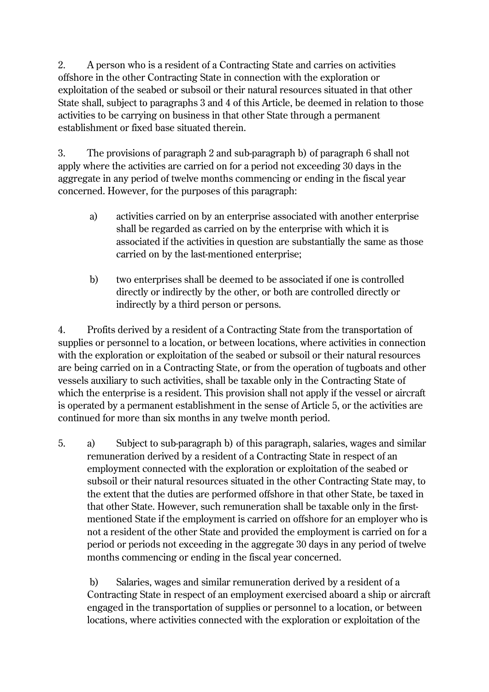2. A person who is a resident of a Contracting State and carries on activities offshore in the other Contracting State in connection with the exploration or exploitation of the seabed or subsoil or their natural resources situated in that other State shall, subject to paragraphs 3 and 4 of this Article, be deemed in relation to those activities to be carrying on business in that other State through a permanent establishment or fixed base situated therein.

3. The provisions of paragraph 2 and sub-paragraph b) of paragraph 6 shall not apply where the activities are carried on for a period not exceeding 30 days in the aggregate in any period of twelve months commencing or ending in the fiscal year concerned. However, for the purposes of this paragraph:

- a) activities carried on by an enterprise associated with another enterprise shall be regarded as carried on by the enterprise with which it is associated if the activities in question are substantially the same as those carried on by the last-mentioned enterprise;
- b) two enterprises shall be deemed to be associated if one is controlled directly or indirectly by the other, or both are controlled directly or indirectly by a third person or persons.

4. Profits derived by a resident of a Contracting State from the transportation of supplies or personnel to a location, or between locations, where activities in connection with the exploration or exploitation of the seabed or subsoil or their natural resources are being carried on in a Contracting State, or from the operation of tugboats and other vessels auxiliary to such activities, shall be taxable only in the Contracting State of which the enterprise is a resident. This provision shall not apply if the vessel or aircraft is operated by a permanent establishment in the sense of Article 5, or the activities are continued for more than six months in any twelve month period.

5. a) Subject to sub-paragraph b) of this paragraph, salaries, wages and similar remuneration derived by a resident of a Contracting State in respect of an employment connected with the exploration or exploitation of the seabed or subsoil or their natural resources situated in the other Contracting State may, to the extent that the duties are performed offshore in that other State, be taxed in that other State. However, such remuneration shall be taxable only in the firstmentioned State if the employment is carried on offshore for an employer who is not a resident of the other State and provided the employment is carried on for a period or periods not exceeding in the aggregate 30 days in any period of twelve months commencing or ending in the fiscal year concerned.

b) Salaries, wages and similar remuneration derived by a resident of a Contracting State in respect of an employment exercised aboard a ship or aircraft engaged in the transportation of supplies or personnel to a location, or between locations, where activities connected with the exploration or exploitation of the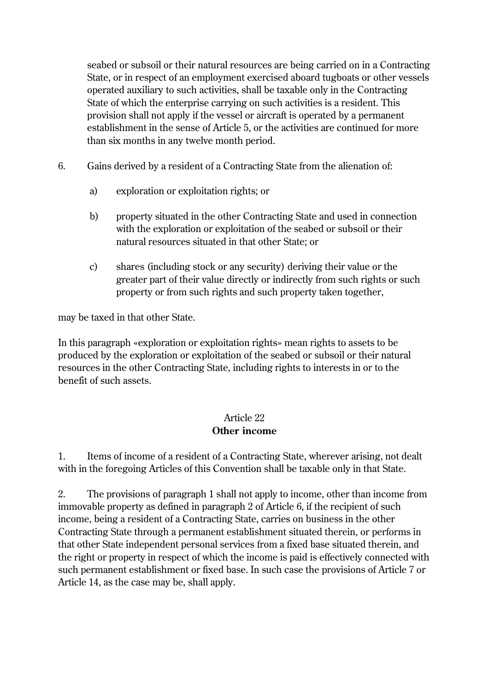seabed or subsoil or their natural resources are being carried on in a Contracting State, or in respect of an employment exercised aboard tugboats or other vessels operated auxiliary to such activities, shall be taxable only in the Contracting State of which the enterprise carrying on such activities is a resident. This provision shall not apply if the vessel or aircraft is operated by a permanent establishment in the sense of Article 5, or the activities are continued for more than six months in any twelve month period.

- 6. Gains derived by a resident of a Contracting State from the alienation of:
	- a) exploration or exploitation rights; or
	- b) property situated in the other Contracting State and used in connection with the exploration or exploitation of the seabed or subsoil or their natural resources situated in that other State; or
	- c) shares (including stock or any security) deriving their value or the greater part of their value directly or indirectly from such rights or such property or from such rights and such property taken together,

may be taxed in that other State.

In this paragraph «exploration or exploitation rights» mean rights to assets to be produced by the exploration or exploitation of the seabed or subsoil or their natural resources in the other Contracting State, including rights to interests in or to the benefit of such assets.

## Article 22 **Other income**

1. Items of income of a resident of a Contracting State, wherever arising, not dealt with in the foregoing Articles of this Convention shall be taxable only in that State.

2. The provisions of paragraph 1 shall not apply to income, other than income from immovable property as defined in paragraph 2 of Article 6, if the recipient of such income, being a resident of a Contracting State, carries on business in the other Contracting State through a permanent establishment situated therein, or performs in that other State independent personal services from a fixed base situated therein, and the right or property in respect of which the income is paid is effectively connected with such permanent establishment or fixed base. In such case the provisions of Article 7 or Article 14, as the case may be, shall apply.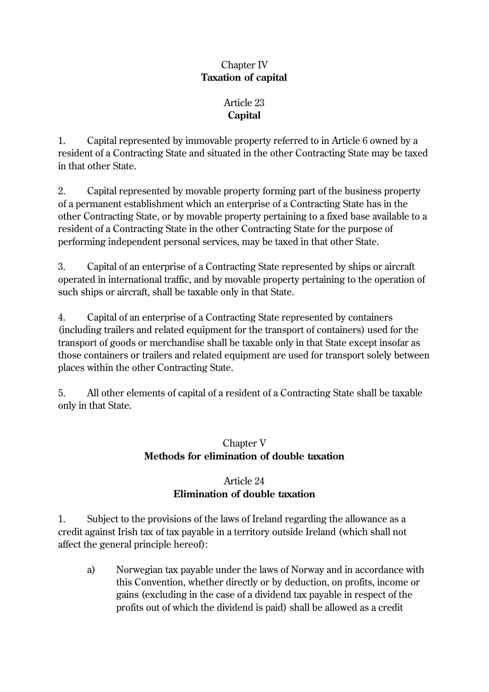### Chapter IV **Taxation of capital**

## Article 23 **Capital**

1. Capital represented by immovable property referred to in Article 6 owned by a resident of a Contracting State and situated in the other Contracting State may be taxed in that other State.

2. Capital represented by movable property forming part of the business property of a permanent establishment which an enterprise of a Contracting State has in the other Contracting State, or by movable property pertaining to a fixed base available to a resident of a Contracting State in the other Contracting State for the purpose of performing independent personal services, may be taxed in that other State.

3. Capital of an enterprise of a Contracting State represented by ships or aircraft operated in international traffic, and by movable property pertaining to the operation of such ships or aircraft, shall be taxable only in that State.

4. Capital of an enterprise of a Contracting State represented by containers (including trailers and related equipment for the transport of containers) used for the transport of goods or merchandise shall be taxable only in that State except insofar as those containers or trailers and related equipment are used for transport solely between places within the other Contracting State.

5. All other elements of capital of a resident of a Contracting State shall be taxable only in that State.

## Chapter V **Methods for elimination of double taxation**

## Article 24 **Elimination of double taxation**

1. Subject to the provisions of the laws of Ireland regarding the allowance as a credit against Irish tax of tax payable in a territory outside Ireland (which shall not affect the general principle hereof):

a) Norwegian tax payable under the laws of Norway and in accordance with this Convention, whether directly or by deduction, on profits, income or gains (excluding in the case of a dividend tax payable in respect of the profits out of which the dividend is paid) shall be allowed as a credit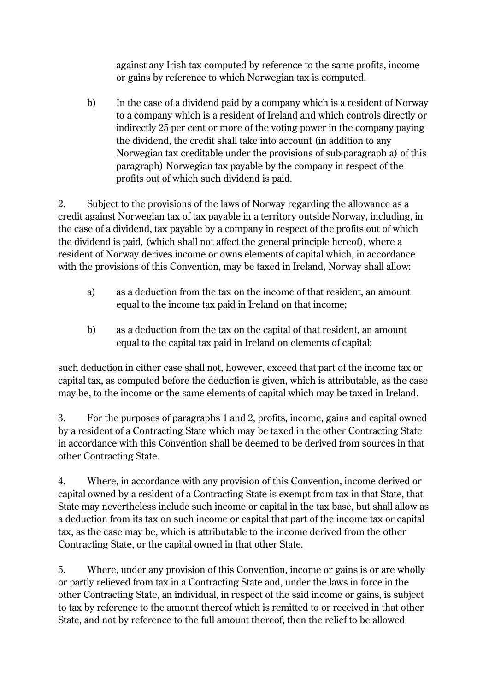against any Irish tax computed by reference to the same profits, income or gains by reference to which Norwegian tax is computed.

b) In the case of a dividend paid by a company which is a resident of Norway to a company which is a resident of Ireland and which controls directly or indirectly 25 per cent or more of the voting power in the company paying the dividend, the credit shall take into account (in addition to any Norwegian tax creditable under the provisions of sub-paragraph a) of this paragraph) Norwegian tax payable by the company in respect of the profits out of which such dividend is paid.

2. Subject to the provisions of the laws of Norway regarding the allowance as a credit against Norwegian tax of tax payable in a territory outside Norway, including, in the case of a dividend, tax payable by a company in respect of the profits out of which the dividend is paid, (which shall not affect the general principle hereof), where a resident of Norway derives income or owns elements of capital which, in accordance with the provisions of this Convention, may be taxed in Ireland, Norway shall allow:

- a) as a deduction from the tax on the income of that resident, an amount equal to the income tax paid in Ireland on that income;
- b) as a deduction from the tax on the capital of that resident, an amount equal to the capital tax paid in Ireland on elements of capital;

such deduction in either case shall not, however, exceed that part of the income tax or capital tax, as computed before the deduction is given, which is attributable, as the case may be, to the income or the same elements of capital which may be taxed in Ireland.

3. For the purposes of paragraphs 1 and 2, profits, income, gains and capital owned by a resident of a Contracting State which may be taxed in the other Contracting State in accordance with this Convention shall be deemed to be derived from sources in that other Contracting State.

4. Where, in accordance with any provision of this Convention, income derived or capital owned by a resident of a Contracting State is exempt from tax in that State, that State may nevertheless include such income or capital in the tax base, but shall allow as a deduction from its tax on such income or capital that part of the income tax or capital tax, as the case may be, which is attributable to the income derived from the other Contracting State, or the capital owned in that other State.

5. Where, under any provision of this Convention, income or gains is or are wholly or partly relieved from tax in a Contracting State and, under the laws in force in the other Contracting State, an individual, in respect of the said income or gains, is subject to tax by reference to the amount thereof which is remitted to or received in that other State, and not by reference to the full amount thereof, then the relief to be allowed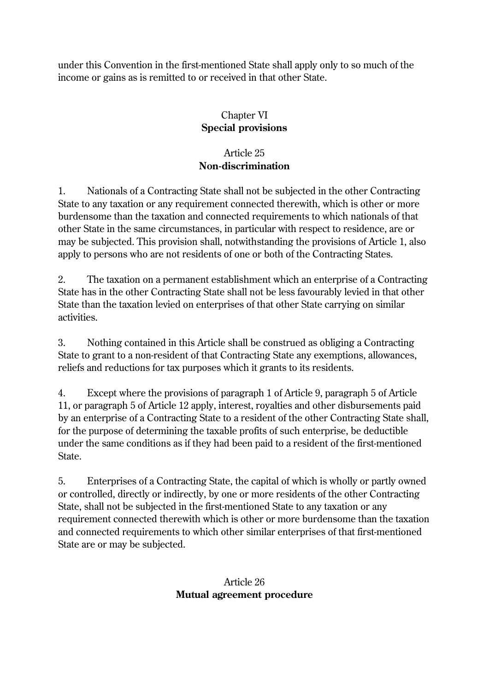under this Convention in the first-mentioned State shall apply only to so much of the income or gains as is remitted to or received in that other State.

## Chapter VI **Special provisions**

## Article 25 **Non-discrimination**

1. Nationals of a Contracting State shall not be subjected in the other Contracting State to any taxation or any requirement connected therewith, which is other or more burdensome than the taxation and connected requirements to which nationals of that other State in the same circumstances, in particular with respect to residence, are or may be subjected. This provision shall, notwithstanding the provisions of Article 1, also apply to persons who are not residents of one or both of the Contracting States.

2. The taxation on a permanent establishment which an enterprise of a Contracting State has in the other Contracting State shall not be less favourably levied in that other State than the taxation levied on enterprises of that other State carrying on similar activities.

3. Nothing contained in this Article shall be construed as obliging a Contracting State to grant to a non-resident of that Contracting State any exemptions, allowances, reliefs and reductions for tax purposes which it grants to its residents.

4. Except where the provisions of paragraph 1 of Article 9, paragraph 5 of Article 11, or paragraph 5 of Article 12 apply, interest, royalties and other disbursements paid by an enterprise of a Contracting State to a resident of the other Contracting State shall, for the purpose of determining the taxable profits of such enterprise, be deductible under the same conditions as if they had been paid to a resident of the first-mentioned State.

5. Enterprises of a Contracting State, the capital of which is wholly or partly owned or controlled, directly or indirectly, by one or more residents of the other Contracting State, shall not be subjected in the first-mentioned State to any taxation or any requirement connected therewith which is other or more burdensome than the taxation and connected requirements to which other similar enterprises of that first-mentioned State are or may be subjected.

## Article 26 **Mutual agreement procedure**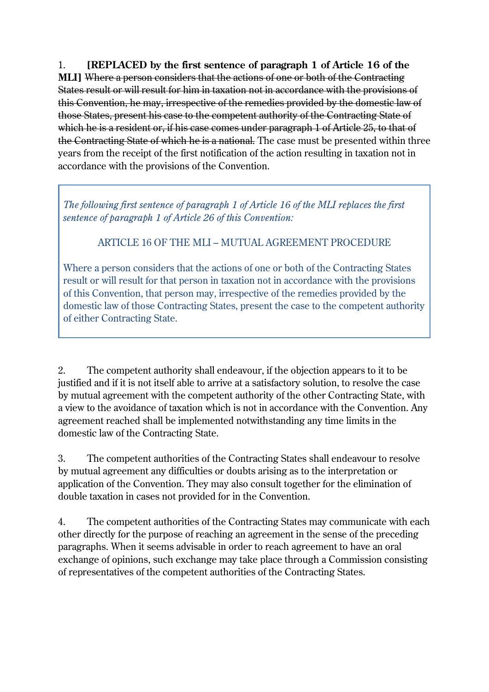1. **[REPLACED by the first sentence of paragraph 1 of Article 16 of the MLI]** Where a person considers that the actions of one or both of the Contracting States result or will result for him in taxation not in accordance with the provisions of this Convention, he may, irrespective of the remedies provided by the domestic law of those States, present his case to the competent authority of the Contracting State of which he is a resident or, if his case comes under paragraph 1 of Article 25, to that of the Contracting State of which he is a national. The case must be presented within three years from the receipt of the first notification of the action resulting in taxation not in accordance with the provisions of the Convention.

*The following first sentence of paragraph 1 of Article 16 of the MLI replaces the first sentence of paragraph 1 of Article 26 of this Convention:*

ARTICLE 16 OF THE MLI – MUTUAL AGREEMENT PROCEDURE

Where a person considers that the actions of one or both of the Contracting States result or will result for that person in taxation not in accordance with the provisions of this Convention, that person may, irrespective of the remedies provided by the domestic law of those Contracting States, present the case to the competent authority of either Contracting State.

2. The competent authority shall endeavour, if the objection appears to it to be justified and if it is not itself able to arrive at a satisfactory solution, to resolve the case by mutual agreement with the competent authority of the other Contracting State, with a view to the avoidance of taxation which is not in accordance with the Convention. Any agreement reached shall be implemented notwithstanding any time limits in the domestic law of the Contracting State.

3. The competent authorities of the Contracting States shall endeavour to resolve by mutual agreement any difficulties or doubts arising as to the interpretation or application of the Convention. They may also consult together for the elimination of double taxation in cases not provided for in the Convention.

4. The competent authorities of the Contracting States may communicate with each other directly for the purpose of reaching an agreement in the sense of the preceding paragraphs. When it seems advisable in order to reach agreement to have an oral exchange of opinions, such exchange may take place through a Commission consisting of representatives of the competent authorities of the Contracting States.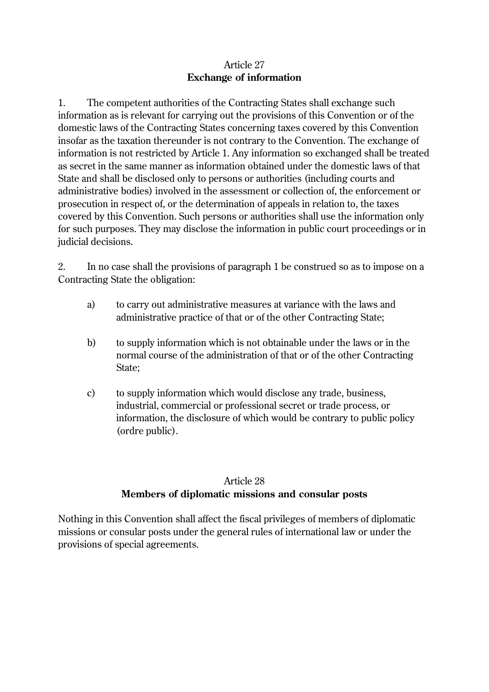#### Article 27 **Exchange of information**

1. The competent authorities of the Contracting States shall exchange such information as is relevant for carrying out the provisions of this Convention or of the domestic laws of the Contracting States concerning taxes covered by this Convention insofar as the taxation thereunder is not contrary to the Convention. The exchange of information is not restricted by Article 1. Any information so exchanged shall be treated as secret in the same manner as information obtained under the domestic laws of that State and shall be disclosed only to persons or authorities (including courts and administrative bodies) involved in the assessment or collection of, the enforcement or prosecution in respect of, or the determination of appeals in relation to, the taxes covered by this Convention. Such persons or authorities shall use the information only for such purposes. They may disclose the information in public court proceedings or in judicial decisions.

2. In no case shall the provisions of paragraph 1 be construed so as to impose on a Contracting State the obligation:

- a) to carry out administrative measures at variance with the laws and administrative practice of that or of the other Contracting State;
- b) to supply information which is not obtainable under the laws or in the normal course of the administration of that or of the other Contracting State;
- c) to supply information which would disclose any trade, business, industrial, commercial or professional secret or trade process, or information, the disclosure of which would be contrary to public policy (ordre public).

## Article 28 **Members of diplomatic missions and consular posts**

Nothing in this Convention shall affect the fiscal privileges of members of diplomatic missions or consular posts under the general rules of international law or under the provisions of special agreements.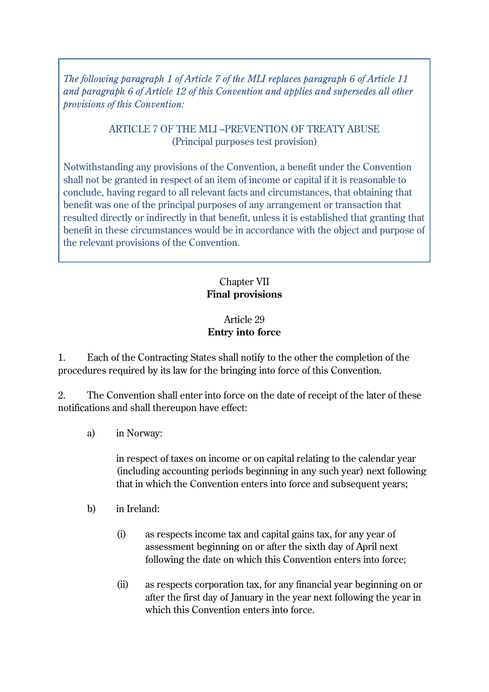*The following paragraph 1 of Article 7 of the MLI replaces paragraph 6 of Article 11 and paragraph 6 of Article 12 of this Convention and applies and supersedes all other provisions of this Convention:*

#### ARTICLE 7 OF THE MLI –PREVENTION OF TREATY ABUSE (Principal purposes test provision)

Notwithstanding any provisions of the Convention, a benefit under the Convention shall not be granted in respect of an item of income or capital if it is reasonable to conclude, having regard to all relevant facts and circumstances, that obtaining that benefit was one of the principal purposes of any arrangement or transaction that resulted directly or indirectly in that benefit, unless it is established that granting that benefit in these circumstances would be in accordance with the object and purpose of the relevant provisions of the Convention.

## Chapter VII **Final provisions**

## Article 29 **Entry into force**

1. Each of the Contracting States shall notify to the other the completion of the procedures required by its law for the bringing into force of this Convention.

2. The Convention shall enter into force on the date of receipt of the later of these notifications and shall thereupon have effect:

a) in Norway:

in respect of taxes on income or on capital relating to the calendar year (including accounting periods beginning in any such year) next following that in which the Convention enters into force and subsequent years;

- b) in Ireland:
	- (i) as respects income tax and capital gains tax, for any year of assessment beginning on or after the sixth day of April next following the date on which this Convention enters into force;
	- (ii) as respects corporation tax, for any financial year beginning on or after the first day of January in the year next following the year in which this Convention enters into force.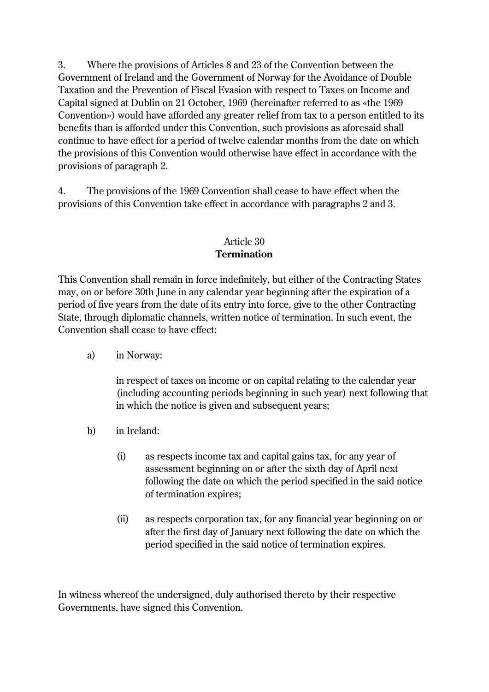3. Where the provisions of Articles 8 and 23 of the Convention between the Government of Ireland and the Government of Norway for the Avoidance of Double Taxation and the Prevention of Fiscal Evasion with respect to Taxes on Income and Capital signed at Dublin on 21 October, 1969 (hereinafter referred to as «the 1969 Convention») would have afforded any greater relief from tax to a person entitled to its benefits than is afforded under this Convention, such provisions as aforesaid shall continue to have effect for a period of twelve calendar months from the date on which the provisions of this Convention would otherwise have effect in accordance with the provisions of paragraph 2.

4. The provisions of the 1969 Convention shall cease to have effect when the provisions of this Convention take effect in accordance with paragraphs 2 and 3.

### Article 30 **Termination**

This Convention shall remain in force indefinitely, but either of the Contracting States may, on or before 30th June in any calendar year beginning after the expiration of a period of five years from the date of its entry into force, give to the other Contracting State, through diplomatic channels, written notice of termination. In such event, the Convention shall cease to have effect:

a) in Norway:

in respect of taxes on income or on capital relating to the calendar year (including accounting periods beginning in such year) next following that in which the notice is given and subsequent years;

- b) in Ireland:
	- (i) as respects income tax and capital gains tax, for any year of assessment beginning on or after the sixth day of April next following the date on which the period specified in the said notice of termination expires;
	- (ii) as respects corporation tax, for any financial year beginning on or after the first day of January next following the date on which the period specified in the said notice of termination expires.

In witness whereof the undersigned, duly authorised thereto by their respective Governments, have signed this Convention.